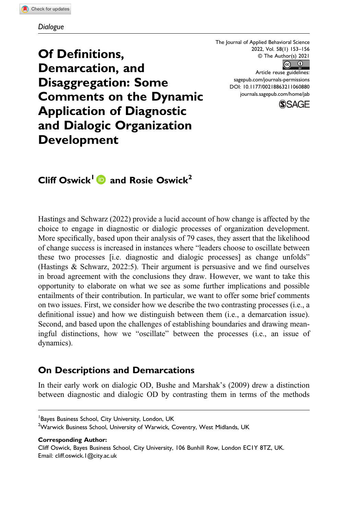#### Dialogue

The Journal of Applied Behavioral Science 2022, Vol. 58(1) 153–156 © The Author(s) 2021  $\circ$   $\circ$ Article reuse guidelines: [sagepub.com/journals-permissions](https://us.sagepub.com/en-us/journals-permissions) DOI: 10.1177/00218863211060880 [journals.sagepub.com/home/jab](https://journals.sagepub.com/home/jab)



Of Definitions, Demarcation, and Disaggregation: Some Comments on the Dynamic Application of Diagnostic and Dialogic Organization Development

# Cliff Oswick<sup>1</sup> **D** and Rosie Oswick<sup>2</sup>

Hastings and Schwarz (2022) provide a lucid account of how change is affected by the choice to engage in diagnostic or dialogic processes of organization development. More specifically, based upon their analysis of 79 cases, they assert that the likelihood of change success is increased in instances where "leaders choose to oscillate between these two processes [i.e. diagnostic and dialogic processes] as change unfolds" (Hastings & Schwarz, 2022:5). Their argument is persuasive and we find ourselves in broad agreement with the conclusions they draw. However, we want to take this opportunity to elaborate on what we see as some further implications and possible entailments of their contribution. In particular, we want to offer some brief comments on two issues. First, we consider how we describe the two contrasting processes (i.e., a definitional issue) and how we distinguish between them (i.e., a demarcation issue). Second, and based upon the challenges of establishing boundaries and drawing meaningful distinctions, how we "oscillate" between the processes (i.e., an issue of dynamics).

# On Descriptions and Demarcations

In their early work on dialogic OD, Bushe and Marshak's (2009) drew a distinction between diagnostic and dialogic OD by contrasting them in terms of the methods

 $^2$ Warwick Business School, University of Warwick, Coventry, West Midlands, UK

Corresponding Author:

Cliff Oswick, Bayes Business School, City University, 106 Bunhill Row, London EC1Y 8TZ, UK. Email: [cliff.oswick.1@city.ac.uk](mailto:cliff.oswick.1@city.ac.uk)

<sup>&</sup>lt;sup>1</sup> Bayes Business School, City University, London, UK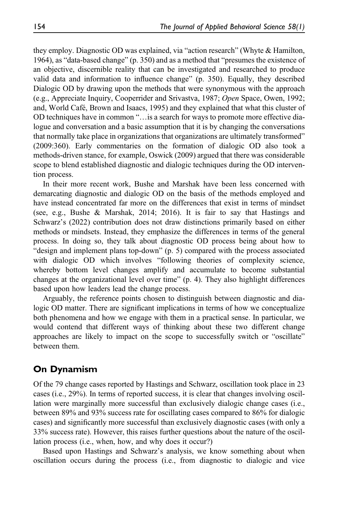they employ. Diagnostic OD was explained, via "action research" (Whyte & Hamilton, 1964), as "data-based change" (p. 350) and as a method that "presumes the existence of an objective, discernible reality that can be investigated and researched to produce valid data and information to influence change" (p. 350). Equally, they described Dialogic OD by drawing upon the methods that were synonymous with the approach (e.g., Appreciate Inquiry, Cooperrider and Srivastva, 1987; Open Space, Owen, 1992; and, World Café, Brown and Isaacs, 1995) and they explained that what this cluster of OD techniques have in common "…is a search for ways to promote more effective dialogue and conversation and a basic assumption that it is by changing the conversations that normally take place in organizations that organizations are ultimately transformed" (2009:360). Early commentaries on the formation of dialogic OD also took a methods-driven stance, for example, Oswick (2009) argued that there was considerable scope to blend established diagnostic and dialogic techniques during the OD intervention process.

In their more recent work, Bushe and Marshak have been less concerned with demarcating diagnostic and dialogic OD on the basis of the methods employed and have instead concentrated far more on the differences that exist in terms of mindset (see, e.g., Bushe & Marshak, 2014; 2016). It is fair to say that Hastings and Schwarz's (2022) contribution does not draw distinctions primarily based on either methods or mindsets. Instead, they emphasize the differences in terms of the general process. In doing so, they talk about diagnostic OD process being about how to "design and implement plans top-down" (p. 5) compared with the process associated with dialogic OD which involves "following theories of complexity science, whereby bottom level changes amplify and accumulate to become substantial changes at the organizational level over time" (p. 4). They also highlight differences based upon how leaders lead the change process.

Arguably, the reference points chosen to distinguish between diagnostic and dialogic OD matter. There are significant implications in terms of how we conceptualize both phenomena and how we engage with them in a practical sense. In particular, we would contend that different ways of thinking about these two different change approaches are likely to impact on the scope to successfully switch or "oscillate" between them.

### On Dynamism

Of the 79 change cases reported by Hastings and Schwarz, oscillation took place in 23 cases (i.e., 29%). In terms of reported success, it is clear that changes involving oscillation were marginally more successful than exclusively dialogic change cases (i.e., between 89% and 93% success rate for oscillating cases compared to 86% for dialogic cases) and significantly more successful than exclusively diagnostic cases (with only a 33% success rate). However, this raises further questions about the nature of the oscillation process (i.e., when, how, and why does it occur?)

Based upon Hastings and Schwarz's analysis, we know something about when oscillation occurs during the process (i.e., from diagnostic to dialogic and vice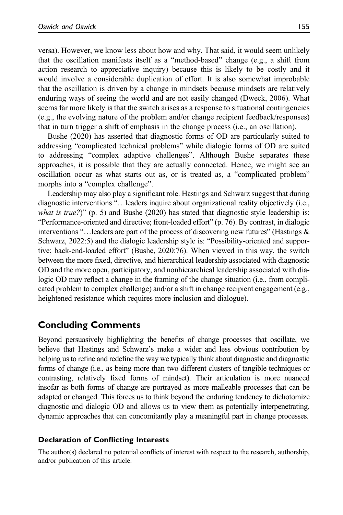versa). However, we know less about how and why. That said, it would seem unlikely that the oscillation manifests itself as a "method-based" change (e.g., a shift from action research to appreciative inquiry) because this is likely to be costly and it would involve a considerable duplication of effort. It is also somewhat improbable that the oscillation is driven by a change in mindsets because mindsets are relatively enduring ways of seeing the world and are not easily changed (Dweck, 2006). What seems far more likely is that the switch arises as a response to situational contingencies (e.g., the evolving nature of the problem and/or change recipient feedback/responses) that in turn trigger a shift of emphasis in the change process (i.e., an oscillation).

Bushe (2020) has asserted that diagnostic forms of OD are particularly suited to addressing "complicated technical problems" while dialogic forms of OD are suited to addressing "complex adaptive challenges". Although Bushe separates these approaches, it is possible that they are actually connected. Hence, we might see an oscillation occur as what starts out as, or is treated as, a "complicated problem" morphs into a "complex challenge".

Leadership may also play a significant role. Hastings and Schwarz suggest that during diagnostic interventions "…leaders inquire about organizational reality objectively (i.e., what is true?)" (p. 5) and Bushe (2020) has stated that diagnostic style leadership is: "Performance-oriented and directive; front-loaded effort" (p. 76). By contrast, in dialogic interventions "... leaders are part of the process of discovering new futures" (Hastings  $\&$ Schwarz, 2022:5) and the dialogic leadership style is: "Possibility-oriented and supportive; back-end-loaded effort" (Bushe, 2020:76). When viewed in this way, the switch between the more fixed, directive, and hierarchical leadership associated with diagnostic OD and the more open, participatory, and nonhierarchical leadership associated with dialogic OD may reflect a change in the framing of the change situation (i.e., from complicated problem to complex challenge) and/or a shift in change recipient engagement (e.g., heightened resistance which requires more inclusion and dialogue).

# Concluding Comments

Beyond persuasively highlighting the benefits of change processes that oscillate, we believe that Hastings and Schwarz's make a wider and less obvious contribution by helping us to refine and redefine the way we typically think about diagnostic and diagnostic forms of change (i.e., as being more than two different clusters of tangible techniques or contrasting, relatively fixed forms of mindset). Their articulation is more nuanced insofar as both forms of change are portrayed as more malleable processes that can be adapted or changed. This forces us to think beyond the enduring tendency to dichotomize diagnostic and dialogic OD and allows us to view them as potentially interpenetrating, dynamic approaches that can concomitantly play a meaningful part in change processes.

### Declaration of Conflicting Interests

The author(s) declared no potential conflicts of interest with respect to the research, authorship, and/or publication of this article.